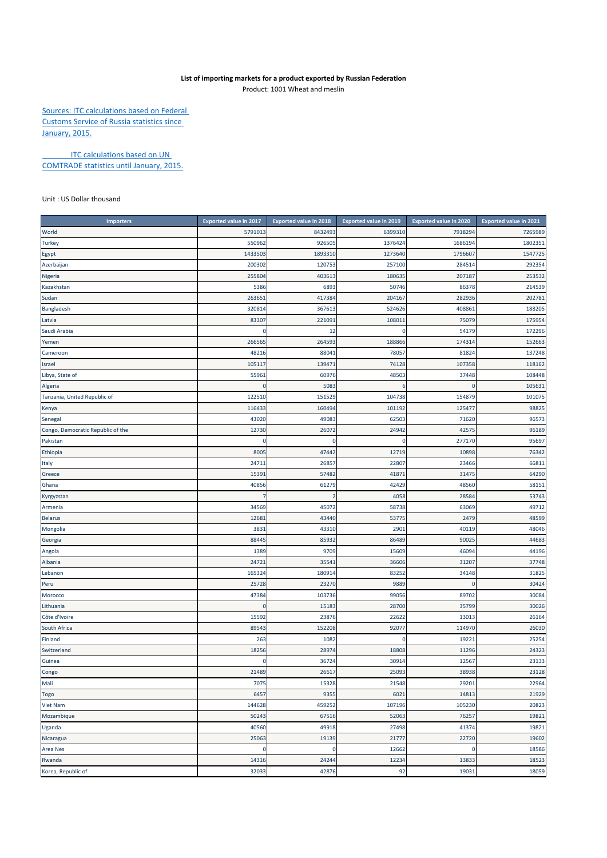## **List of importing markets for a product exported by Russian Federation**

Product: 1001 Wheat and meslin

Sources: ITC calculations based on Federal Customs Service of Russia statistics since January, 2015.

**ITC calculations based on UN** COMTRADE statistics until January, 2015.

Unit : US Dollar thousand

| <b>Importers</b>                  | Exported value in 2017 | <b>Exported value in 2018</b> | <b>Exported value in 2019</b> | <b>Exported value in 2020</b> | Exported value in 2021 |
|-----------------------------------|------------------------|-------------------------------|-------------------------------|-------------------------------|------------------------|
| World                             | 5791013                | 8432493                       | 6399310                       | 7918294                       | 7265989                |
| <b>Turkey</b>                     | 550962                 | 926505                        | 1376424                       | 1686194                       | 1802351                |
| Egypt                             | 1433503                | 1893310                       | 1273640                       | 1796607                       | 1547725                |
| Azerbaijan                        | 200302                 | 120753                        | 257100                        | 284514                        | 292354                 |
| Nigeria                           | 255804                 | 403613                        | 180635                        | 207187                        | 253532                 |
| Kazakhstan                        | 5386                   | 6893                          | 50746                         | 86378                         | 214539                 |
| Sudan                             | 26365                  | 417384                        | 204167                        | 282936                        | 202781                 |
| Bangladesh                        | 320814                 | 367613                        | 524626                        | 408861                        | 188205                 |
| Latvia                            | 83307                  | 221091                        | 108011                        | 75079                         | 175954                 |
| Saudi Arabia                      | 0                      | 12                            | $\mathbf 0$                   | 54179                         | 172296                 |
| Yemen                             | 266565                 | 264593                        | 188866                        | 174314                        | 152663                 |
| Cameroon                          | 48216                  | 88041                         | 78057                         | 81824                         | 137248                 |
| Israel                            | 105117                 | 139471                        | 74128                         | 107358                        | 118162                 |
| Libya, State of                   | 55961                  | 60976                         | 48503                         | 37448                         | 108448                 |
| Algeria                           | $\Omega$               | 5083                          | 6                             | C                             | 105631                 |
| Tanzania, United Republic of      | 122510                 | 151529                        | 104738                        | 154879                        | 101075                 |
| Kenya                             | 116433                 | 160494                        | 101192                        | 125477                        | 98825                  |
| Senegal                           | 43020                  | 49083                         | 62503                         | 71620                         | 96573                  |
| Congo, Democratic Republic of the | 12730                  | 26072                         | 24942                         | 42575                         | 96189                  |
| Pakistan                          | 0                      | 0                             | $\mathbf 0$                   | 277170                        | 95697                  |
| Ethiopia                          | 8005                   | 47442                         | 12719                         | 10898                         | 76342                  |
| Italy                             | 2471                   | 26857                         | 22807                         | 23466                         | 66811                  |
| Greece                            | 1539                   | 57482                         | 41871                         | 31475                         | 64290                  |
| Ghana                             | 40856                  | 61279                         | 42429                         | 48560                         | 58151                  |
| Kyrgyzstan                        |                        | 2                             | 4058                          | 28584                         | 53743                  |
| Armenia                           | 34569                  | 45072                         | 58738                         | 63069                         | 49712                  |
| <b>Belarus</b>                    | 1268                   | 43440                         | 53775                         | 2479                          | 48599                  |
| Mongolia                          | 3831                   | 43310                         | 2901                          | 40119                         | 48046                  |
| Georgia                           | 88445                  | 85932                         | 86489                         | 90025                         | 44683                  |
| Angola                            | 1389                   | 9709                          | 15609                         | 46094                         | 44196                  |
| Albania                           | 24721                  | 35541                         | 36606                         | 31207                         | 37748                  |
| Lebanon                           | 165324                 | 180914                        | 83252                         | 34148                         | 31825                  |
| Peru                              | 25728                  | 23270                         | 9889                          | n                             | 30424                  |
| Morocco                           | 47384                  | 103736                        | 99056                         | 89702                         | 30084                  |
| Lithuania                         | 0                      | 15183                         | 28700                         | 35799                         | 30026                  |
| Côte d'Ivoire                     | 15592                  | 23876                         | 22622                         | 13013                         | 26164                  |
| South Africa                      | 89543                  | 152208                        | 92077                         | 114970                        | 26030                  |
| Finland                           | 263                    | 1082                          | $\bf 0$                       | 19221                         | 25254                  |
| Switzerland                       | 18256                  | 28974                         | 18808                         | 11296                         | 24323                  |
| Guinea                            | $\Omega$               | 36724                         | 30914                         | 12567                         | 23133                  |
| congo                             | 21489                  | 26617                         | 25093                         | 38938                         | 23128                  |
| Mali                              | 7075                   | 15328                         | 21548                         | 29201                         | 22964                  |
| Togo                              | 6457                   | 9355                          | 6021                          | 14813                         | 21929                  |
| Viet Nam                          | 144628                 | 459252                        | 107196                        | 105230                        | 20823                  |
| Mozambique                        | 50243                  | 67516                         | 52063                         | 76257                         | 19821                  |
| Uganda                            | 40560                  | 49918                         | 27498                         | 41374                         | 19821                  |
| Nicaragua                         | 25063                  | 19139                         | 21777                         | 22720                         | 19602                  |
| Area Nes                          | 0                      | 0                             | 12662                         | $\mathbf 0$                   | 18586                  |
| Rwanda                            | 14316                  | 24244                         | 12234                         | 13833                         | 18523                  |
| Korea, Republic of                | 32033                  | 42876                         | 92                            | 19031                         | 18059                  |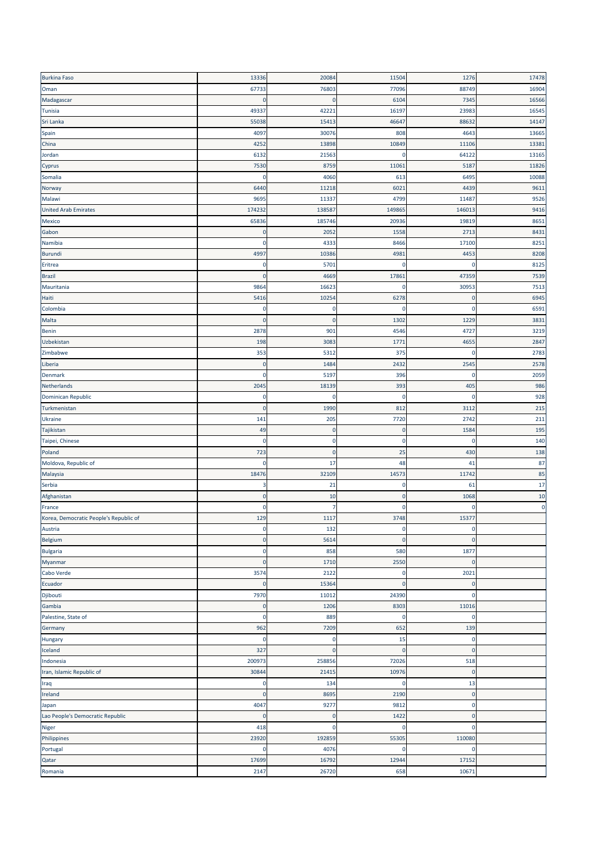| <b>Burkina Faso</b>                    | 13336        | 20084       | 11504       | 1276        | 17478     |
|----------------------------------------|--------------|-------------|-------------|-------------|-----------|
| Oman                                   | 67733        | 76803       | 77096       | 88749       | 16904     |
| Madagascar                             | 0            | 0           | 6104        | 7345        | 16566     |
| Tunisia                                | 49337        | 42221       | 16197       | 23983       | 16545     |
| Sri Lanka                              | 55038        | 15413       | 46647       | 88632       | 14147     |
| Spain                                  | 4097         | 30076       | 808         | 4643        | 13665     |
| China                                  | 4252         | 13898       | 10849       | 11106       | 13381     |
| Jordan                                 | 6132         | 21563       | 0           | 64122       | 13165     |
| Cyprus                                 | 7530         | 8759        | 11061       | 5187        | 11826     |
| Somalia                                | $\Omega$     | 4060        | 613         | 6495        | 10088     |
|                                        |              |             |             |             |           |
| Norway                                 | 6440         | 11218       | 6021        | 4439        | 9611      |
| Malawi                                 | 9695         | 11337       | 4799        | 11487       | 9526      |
| <b>United Arab Emirates</b>            | 174232       | 138587      | 149865      | 146013      | 9416      |
| Mexico                                 | 65836        | 185746      | 20936       | 19819       | 8651      |
| Gabon                                  | $\Omega$     | 2052        | 1558        | 2713        | 8431      |
| Namibia                                | 0            | 4333        | 8466        | 17100       | 8251      |
| Burundi                                | 4997         | 10386       | 4981        | 4453        | 8208      |
| Eritrea                                | 0            | 5701        | 0           | $\Omega$    | 8125      |
| <b>Brazil</b>                          | $\mathbf 0$  | 4669        | 17861       | 47359       | 7539      |
| Mauritania                             | 9864         | 16623       | 0           | 30953       | 7513      |
| Haiti                                  | 5416         | 10254       | 6278        | $\mathbf 0$ | 6945      |
| Colombia                               | 0            | 0           | 0           | $\mathbf 0$ | 6591      |
| Malta                                  | 0            | 0           | 1302        | 1229        | 3831      |
| Benin                                  | 2878         | 901         | 4546        | 4727        | 3219      |
| Uzbekistan                             | 198          | 3083        | 1771        | 4655        | 2847      |
| Zimbabwe                               | 353          | 5312        | 375         | $\mathbf 0$ | 2783      |
| Liberia                                | C            | 1484        | 2432        | 2545        | 2578      |
| Denmark                                | 0            | 5197        | 396         | 0           | 2059      |
| Netherlands                            | 2045         | 18139       | 393         | 405         | 986       |
| Dominican Republic                     | $\mathbf 0$  | $\mathbf 0$ | $\mathbf 0$ | $\mathbf 0$ | 928       |
| Turkmenistan                           | $\pmb{0}$    | 1990        | 812         | 3112        | 215       |
| Ukraine                                | 141          | 205         | 7720        | 2742        | 211       |
| Tajikistan                             | 49           | 0           | $\mathbf 0$ | 1584        | 195       |
| Taipei, Chinese                        | 0            | 0           | 0           | 0           | 140       |
| Poland                                 | 723          | $\pmb{0}$   | 25          | 430         | 138       |
| Moldova, Republic of                   | 0            | 17          | 48          | 41          | 87        |
|                                        | 18476        | 32109       | 14573       | 11742       | 85        |
| Malaysia<br>Serbia                     | 3            | 21          | $\mathbf 0$ | 61          | 17        |
|                                        | $\mathbf 0$  | 10          | $\mathbf 0$ | 1068        | 10        |
| Afghanistan                            | $\Omega$     | 7           | $\mathbf 0$ | $\mathbf 0$ | $\pmb{0}$ |
| France                                 |              |             |             |             |           |
| Korea, Democratic People's Republic of | 129          | 1117        | 3748        | 15377       |           |
| Austria                                | υ            | 132         | C           |             |           |
| Belgium                                | $\pmb{0}$    | 5614        | $\pmb{0}$   | $\mathbf 0$ |           |
| <b>Bulgaria</b>                        | 0            | 858         | 580         | 1877        |           |
| Myanmar                                | $\mathbf{0}$ | 1710        | 2550        | $\mathbf 0$ |           |
| Cabo Verde                             | 3574         | 2122        | $\pmb{0}$   | 2021        |           |
| Ecuador                                | 0            | 15364       | $\mathbf 0$ | $\mathbf 0$ |           |
| Djibouti                               | 7970         | 11012       | 24390       | 0           |           |
| Gambia                                 | $\mathbf 0$  | 1206        | 8303        | 11016       |           |
| Palestine, State of                    | $\Omega$     | 889         | $\mathbf 0$ | $\mathbf 0$ |           |
| Germany                                | 962          | 7209        | 652         | 139         |           |
| Hungary                                | C            | 0           | 15          | $\mathbf 0$ |           |
| Iceland                                | 327          | $\bf{0}$    | $\mathbf 0$ | $\mathbf 0$ |           |
| Indonesia                              | 200973       | 258856      | 72026       | 518         |           |
| Iran, Islamic Republic of              | 30844        | 21415       | 10976       | $\mathbf 0$ |           |
| Iraq                                   | 0            | 134         | $\pmb{0}$   | 13          |           |
| Ireland                                | 0            | 8695        | 2190        | $\mathbf 0$ |           |
| Japan                                  | 4047         | 9277        | 9812        | $\mathbf 0$ |           |
| Lao People's Democratic Republic       | $\mathbf 0$  | $\bf{0}$    | 1422        | $\mathbf 0$ |           |
| Niger                                  | 418          | 0           | $\mathbf 0$ | $\mathbf 0$ |           |
| Philippines                            | 23920        | 192859      | 55305       | 110080      |           |
| Portugal                               | C            | 4076        | 0           | $\mathbf 0$ |           |
| Qatar                                  | 17699        | 16792       | 12944       | 17152       |           |
| Romania                                | 2147         | 26720       | 658         | 10671       |           |
|                                        |              |             |             |             |           |